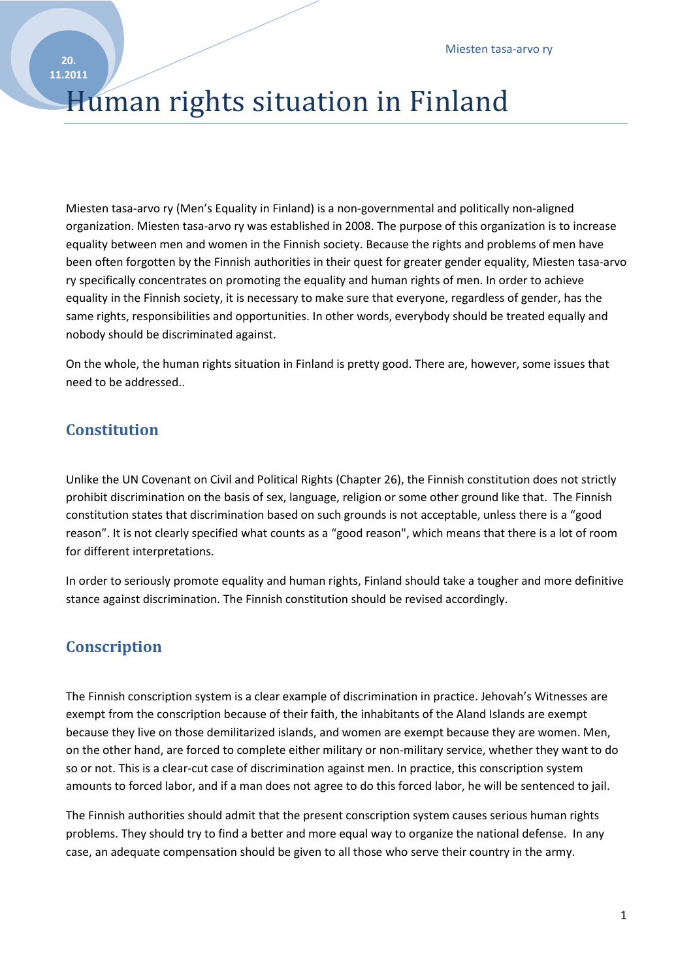# Human rights situation in Finland

Miesten tasa-arvo ry (Men's Equality in Finland) is a non-governmental and politically non-aligned organization. Miesten tasa-arvo ry was established in 2008. The purpose of this organization is to increase equality between men and women in the Finnish society. Because the rights and problems of men have been often forgotten by the Finnish authorities in their quest for greater gender equality, Miesten tasa-arvo ry specifically concentrates on promoting the equality and human rights of men. In order to achieve equality in the Finnish society, it is necessary to make sure that everyone, regardless of gender, has the same rights, responsibilities and opportunities. In other words, everybody should be treated equally and nobody should be discriminated against.

On the whole, the human rights situation in Finland is pretty good. There are, however, some issues that need to be addressed..

# **Constitution**

Unlike the UN Covenant on Civil and Political Rights (Chapter 26), the Finnish constitution does not strictly prohibit discrimination on the basis of sex, language, religion or some other ground like that. The Finnish constitution states that discrimination based on such grounds is not acceptable, unless there is a "good reason". It is not clearly specified what counts as a "good reason", which means that there is a lot of room for different interpretations.

In order to seriously promote equality and human rights, Finland should take a tougher and more definitive stance against discrimination. The Finnish constitution should be revised accordingly.

# **Conscription**

The Finnish conscription system is a clear example of discrimination in practice. Jehovah's Witnesses are exempt from the conscription because of their faith, the inhabitants of the Aland Islands are exempt because they live on those demilitarized islands, and women are exempt because they are women. Men, on the other hand, are forced to complete either military or non-military service, whether they want to do so or not. This is a clear-cut case of discrimination against men. In practice, this conscription system amounts to forced labor, and if a man does not agree to do this forced labor, he will be sentenced to jail.

The Finnish authorities should admit that the present conscription system causes serious human rights problems. They should try to find a better and more equal way to organize the national defense. In any case, an adequate compensation should be given to all those who serve their country in the army.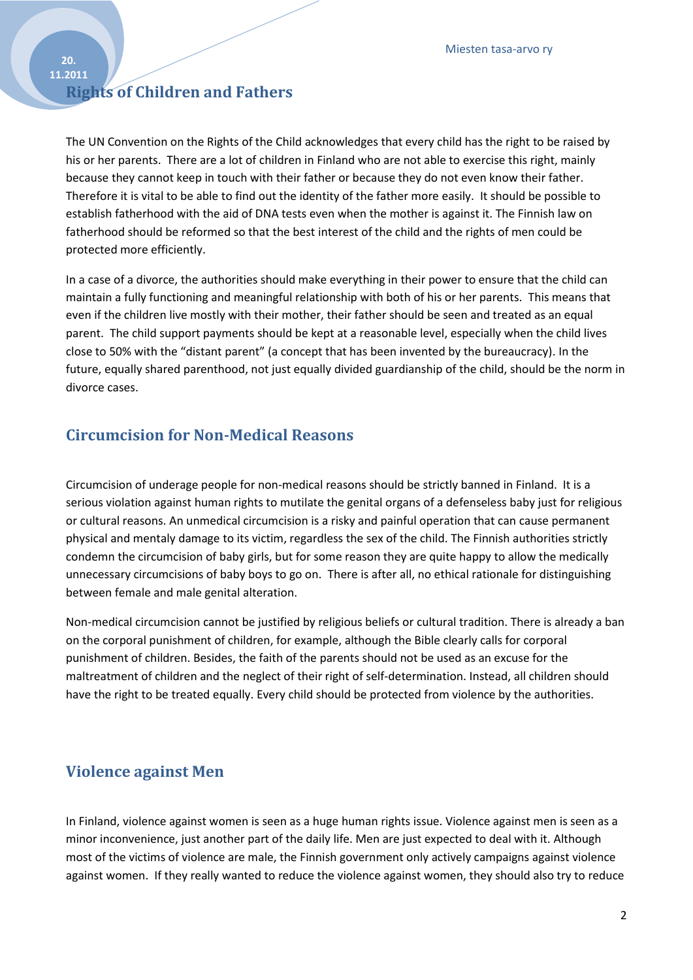#### **20. 11.2011**

# **Rights of Children and Fathers**

The UN Convention on the Rights of the Child acknowledges that every child has the right to be raised by his or her parents. There are a lot of children in Finland who are not able to exercise this right, mainly because they cannot keep in touch with their father or because they do not even know their father. Therefore it is vital to be able to find out the identity of the father more easily. It should be possible to establish fatherhood with the aid of DNA tests even when the mother is against it. The Finnish law on fatherhood should be reformed so that the best interest of the child and the rights of men could be protected more efficiently.

In a case of a divorce, the authorities should make everything in their power to ensure that the child can maintain a fully functioning and meaningful relationship with both of his or her parents. This means that even if the children live mostly with their mother, their father should be seen and treated as an equal parent. The child support payments should be kept at a reasonable level, especially when the child lives close to 50% with the "distant parent" (a concept that has been invented by the bureaucracy). In the future, equally shared parenthood, not just equally divided guardianship of the child, should be the norm in divorce cases.

#### **Circumcision for Non-Medical Reasons**

Circumcision of underage people for non-medical reasons should be strictly banned in Finland. It is a serious violation against human rights to mutilate the genital organs of a defenseless baby just for religious or cultural reasons. An unmedical circumcision is a risky and painful operation that can cause permanent physical and mentaly damage to its victim, regardless the sex of the child. The Finnish authorities strictly condemn the circumcision of baby girls, but for some reason they are quite happy to allow the medically unnecessary circumcisions of baby boys to go on. There is after all, no ethical rationale for distinguishing between female and male genital alteration.

Non-medical circumcision cannot be justified by religious beliefs or cultural tradition. There is already a ban on the corporal punishment of children, for example, although the Bible clearly calls for corporal punishment of children. Besides, the faith of the parents should not be used as an excuse for the maltreatment of children and the neglect of their right of self-determination. Instead, all children should have the right to be treated equally. Every child should be protected from violence by the authorities.

#### **Violence against Men**

In Finland, violence against women is seen as a huge human rights issue. Violence against men is seen as a minor inconvenience, just another part of the daily life. Men are just expected to deal with it. Although most of the victims of violence are male, the Finnish government only actively campaigns against violence against women. If they really wanted to reduce the violence against women, they should also try to reduce